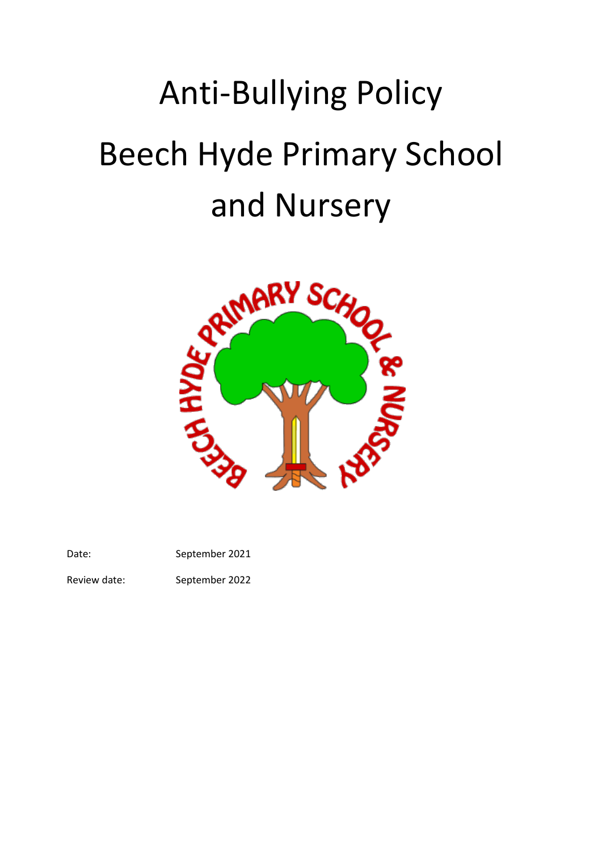# Anti-Bullying Policy Beech Hyde Primary School



Date: September 2021

Review date: September 2022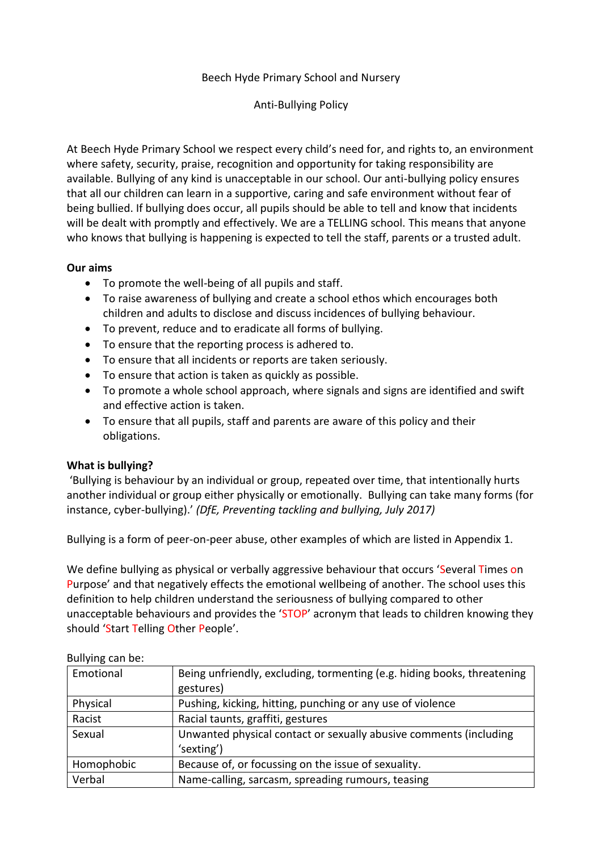#### Beech Hyde Primary School and Nursery

#### Anti-Bullying Policy

At Beech Hyde Primary School we respect every child's need for, and rights to, an environment where safety, security, praise, recognition and opportunity for taking responsibility are available. Bullying of any kind is unacceptable in our school. Our anti-bullying policy ensures that all our children can learn in a supportive, caring and safe environment without fear of being bullied. If bullying does occur, all pupils should be able to tell and know that incidents will be dealt with promptly and effectively. We are a TELLING school. This means that anyone who knows that bullying is happening is expected to tell the staff, parents or a trusted adult.

#### **Our aims**

- To promote the well-being of all pupils and staff.
- To raise awareness of bullying and create a school ethos which encourages both children and adults to disclose and discuss incidences of bullying behaviour.
- To prevent, reduce and to eradicate all forms of bullying.
- To ensure that the reporting process is adhered to.
- To ensure that all incidents or reports are taken seriously.
- To ensure that action is taken as quickly as possible.
- To promote a whole school approach, where signals and signs are identified and swift and effective action is taken.
- To ensure that all pupils, staff and parents are aware of this policy and their obligations.

### **What is bullying?**

'Bullying is behaviour by an individual or group, repeated over time, that intentionally hurts another individual or group either physically or emotionally. Bullying can take many forms (for instance, cyber-bullying).' *(DfE, Preventing tackling and bullying, July 2017)*

Bullying is a form of peer-on-peer abuse, other examples of which are listed in Appendix 1.

We define bullying as physical or verbally aggressive behaviour that occurs 'Several Times on Purpose' and that negatively effects the emotional wellbeing of another. The school uses this definition to help children understand the seriousness of bullying compared to other unacceptable behaviours and provides the 'STOP' acronym that leads to children knowing they should 'Start Telling Other People'.

#### Bullying can be:

| Emotional  | Being unfriendly, excluding, tormenting (e.g. hiding books, threatening |
|------------|-------------------------------------------------------------------------|
|            | gestures)                                                               |
| Physical   | Pushing, kicking, hitting, punching or any use of violence              |
| Racist     | Racial taunts, graffiti, gestures                                       |
| Sexual     | Unwanted physical contact or sexually abusive comments (including       |
|            | 'sexting')                                                              |
| Homophobic | Because of, or focussing on the issue of sexuality.                     |
| Verbal     | Name-calling, sarcasm, spreading rumours, teasing                       |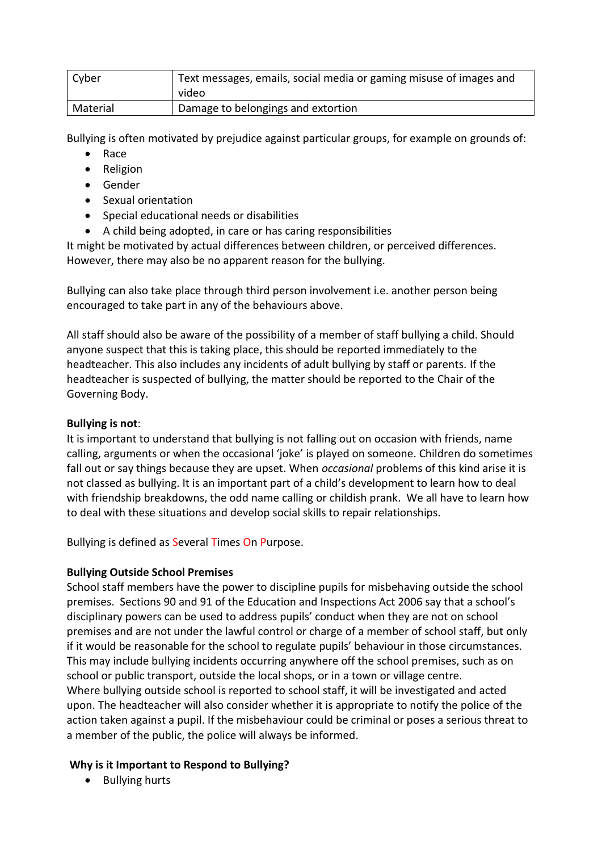| Cyber    | Text messages, emails, social media or gaming misuse of images and<br>video |
|----------|-----------------------------------------------------------------------------|
| Material | Damage to belongings and extortion                                          |

Bullying is often motivated by prejudice against particular groups, for example on grounds of:

- Race
- Religion
- Gender
- Sexual orientation
- Special educational needs or disabilities
- A child being adopted, in care or has caring responsibilities

It might be motivated by actual differences between children, or perceived differences. However, there may also be no apparent reason for the bullying.

Bullying can also take place through third person involvement i.e. another person being encouraged to take part in any of the behaviours above.

All staff should also be aware of the possibility of a member of staff bullying a child. Should anyone suspect that this is taking place, this should be reported immediately to the headteacher. This also includes any incidents of adult bullying by staff or parents. If the headteacher is suspected of bullying, the matter should be reported to the Chair of the Governing Body.

# **Bullying is not**:

It is important to understand that bullying is not falling out on occasion with friends, name calling, arguments or when the occasional 'joke' is played on someone. Children do sometimes fall out or say things because they are upset. When *occasional* problems of this kind arise it is not classed as bullying. It is an important part of a child's development to learn how to deal with friendship breakdowns, the odd name calling or childish prank. We all have to learn how to deal with these situations and develop social skills to repair relationships.

Bullying is defined as Several Times On Purpose.

# **Bullying Outside School Premises**

School staff members have the power to discipline pupils for misbehaving outside the school premises. Sections 90 and 91 of the Education and Inspections Act 2006 say that a school's disciplinary powers can be used to address pupils' conduct when they are not on school premises and are not under the lawful control or charge of a member of school staff, but only if it would be reasonable for the school to regulate pupils' behaviour in those circumstances. This may include bullying incidents occurring anywhere off the school premises, such as on school or public transport, outside the local shops, or in a town or village centre. Where bullying outside school is reported to school staff, it will be investigated and acted upon. The headteacher will also consider whether it is appropriate to notify the police of the action taken against a pupil. If the misbehaviour could be criminal or poses a serious threat to a member of the public, the police will always be informed.

# **Why is it Important to Respond to Bullying?**

Bullying hurts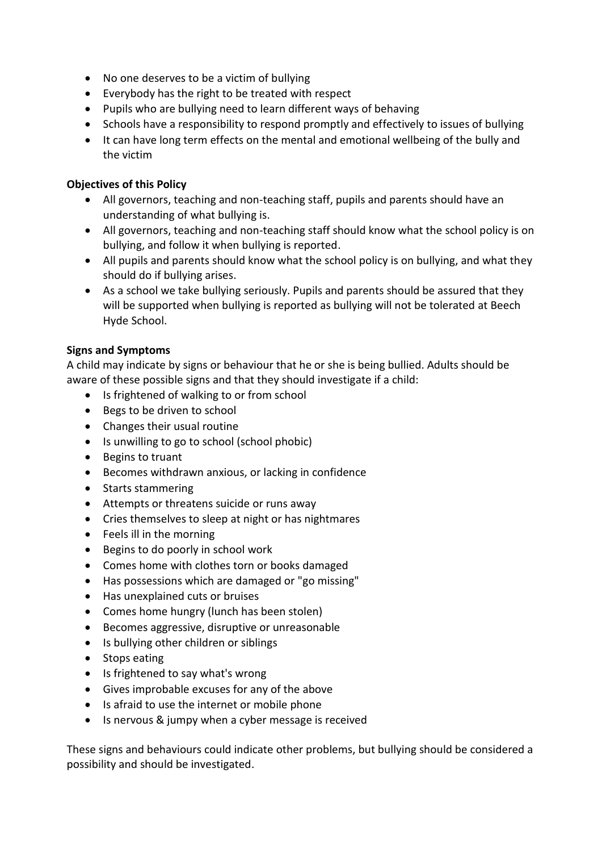- No one deserves to be a victim of bullying
- Everybody has the right to be treated with respect
- Pupils who are bullying need to learn different ways of behaving
- Schools have a responsibility to respond promptly and effectively to issues of bullying
- It can have long term effects on the mental and emotional wellbeing of the bully and the victim

# **Objectives of this Policy**

- All governors, teaching and non-teaching staff, pupils and parents should have an understanding of what bullying is.
- All governors, teaching and non-teaching staff should know what the school policy is on bullying, and follow it when bullying is reported.
- All pupils and parents should know what the school policy is on bullying, and what they should do if bullying arises.
- As a school we take bullying seriously. Pupils and parents should be assured that they will be supported when bullying is reported as bullying will not be tolerated at Beech Hyde School.

### **Signs and Symptoms**

A child may indicate by signs or behaviour that he or she is being bullied. Adults should be aware of these possible signs and that they should investigate if a child:

- Is frightened of walking to or from school
- Begs to be driven to school
- Changes their usual routine
- Is unwilling to go to school (school phobic)
- Begins to truant
- Becomes withdrawn anxious, or lacking in confidence
- Starts stammering
- Attempts or threatens suicide or runs away
- Cries themselves to sleep at night or has nightmares
- Feels ill in the morning
- Begins to do poorly in school work
- Comes home with clothes torn or books damaged
- Has possessions which are damaged or "go missing"
- Has unexplained cuts or bruises
- Comes home hungry (lunch has been stolen)
- Becomes aggressive, disruptive or unreasonable
- Is bullying other children or siblings
- Stops eating
- Is frightened to say what's wrong
- Gives improbable excuses for any of the above
- Is afraid to use the internet or mobile phone
- Is nervous & jumpy when a cyber message is received

These signs and behaviours could indicate other problems, but bullying should be considered a possibility and should be investigated.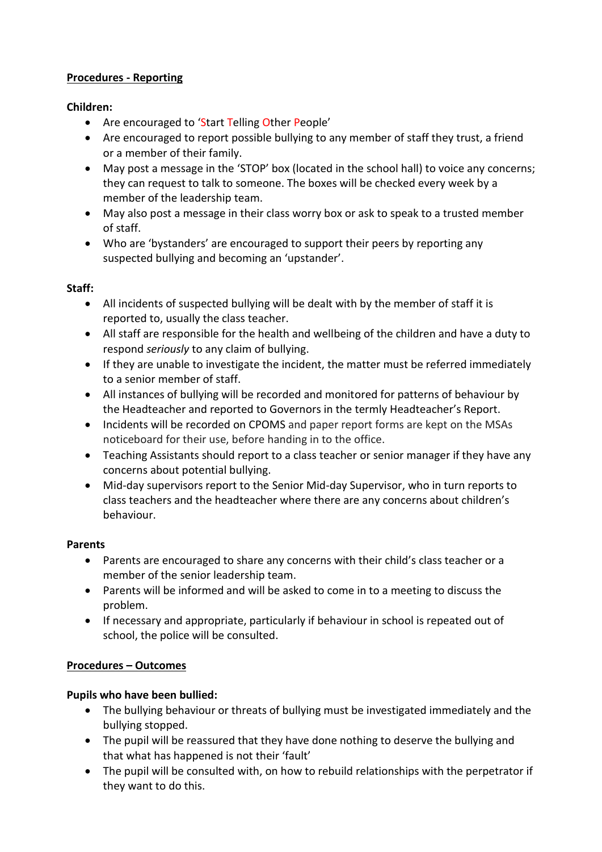# **Procedures - Reporting**

# **Children:**

- Are encouraged to 'Start Telling Other People'
- Are encouraged to report possible bullying to any member of staff they trust, a friend or a member of their family.
- May post a message in the 'STOP' box (located in the school hall) to voice any concerns; they can request to talk to someone. The boxes will be checked every week by a member of the leadership team.
- May also post a message in their class worry box or ask to speak to a trusted member of staff.
- Who are 'bystanders' are encouraged to support their peers by reporting any suspected bullying and becoming an 'upstander'.

# **Staff:**

- All incidents of suspected bullying will be dealt with by the member of staff it is reported to, usually the class teacher.
- All staff are responsible for the health and wellbeing of the children and have a duty to respond *seriously* to any claim of bullying.
- If they are unable to investigate the incident, the matter must be referred immediately to a senior member of staff.
- All instances of bullying will be recorded and monitored for patterns of behaviour by the Headteacher and reported to Governors in the termly Headteacher's Report.
- Incidents will be recorded on CPOMS and paper report forms are kept on the MSAs noticeboard for their use, before handing in to the office.
- Teaching Assistants should report to a class teacher or senior manager if they have any concerns about potential bullying.
- Mid-day supervisors report to the Senior Mid-day Supervisor, who in turn reports to class teachers and the headteacher where there are any concerns about children's behaviour.

# **Parents**

- Parents are encouraged to share any concerns with their child's class teacher or a member of the senior leadership team.
- Parents will be informed and will be asked to come in to a meeting to discuss the problem.
- If necessary and appropriate, particularly if behaviour in school is repeated out of school, the police will be consulted.

# **Procedures – Outcomes**

# **Pupils who have been bullied:**

- The bullying behaviour or threats of bullying must be investigated immediately and the bullying stopped.
- The pupil will be reassured that they have done nothing to deserve the bullying and that what has happened is not their 'fault'
- The pupil will be consulted with, on how to rebuild relationships with the perpetrator if they want to do this.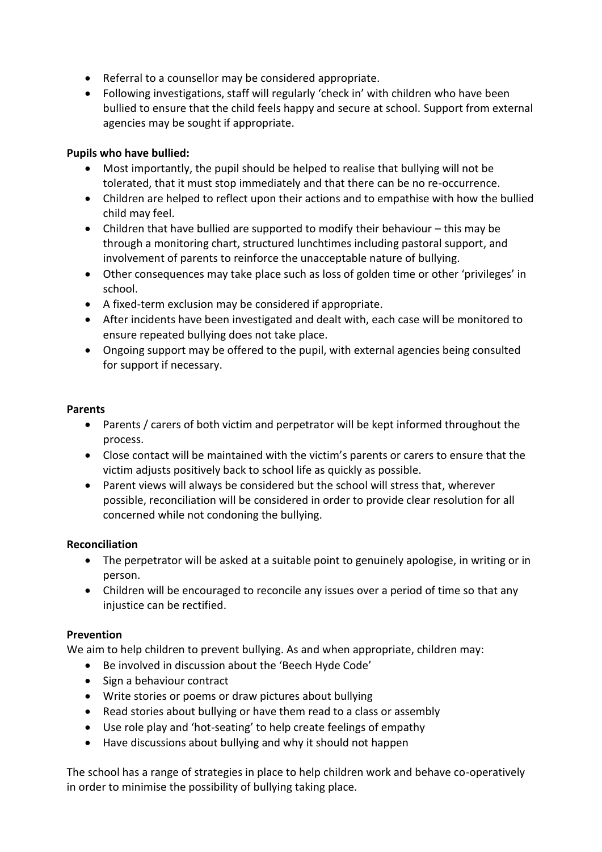- Referral to a counsellor may be considered appropriate.
- Following investigations, staff will regularly 'check in' with children who have been bullied to ensure that the child feels happy and secure at school. Support from external agencies may be sought if appropriate.

## **Pupils who have bullied:**

- Most importantly, the pupil should be helped to realise that bullying will not be tolerated, that it must stop immediately and that there can be no re-occurrence.
- Children are helped to reflect upon their actions and to empathise with how the bullied child may feel.
- Children that have bullied are supported to modify their behaviour this may be through a monitoring chart, structured lunchtimes including pastoral support, and involvement of parents to reinforce the unacceptable nature of bullying.
- Other consequences may take place such as loss of golden time or other 'privileges' in school.
- A fixed-term exclusion may be considered if appropriate.
- After incidents have been investigated and dealt with, each case will be monitored to ensure repeated bullying does not take place.
- Ongoing support may be offered to the pupil, with external agencies being consulted for support if necessary.

#### **Parents**

- Parents / carers of both victim and perpetrator will be kept informed throughout the process.
- Close contact will be maintained with the victim's parents or carers to ensure that the victim adjusts positively back to school life as quickly as possible.
- Parent views will always be considered but the school will stress that, wherever possible, reconciliation will be considered in order to provide clear resolution for all concerned while not condoning the bullying.

### **Reconciliation**

- The perpetrator will be asked at a suitable point to genuinely apologise, in writing or in person.
- Children will be encouraged to reconcile any issues over a period of time so that any injustice can be rectified.

### **Prevention**

We aim to help children to prevent bullying. As and when appropriate, children may:

- Be involved in discussion about the 'Beech Hyde Code'
- Sign a behaviour contract
- Write stories or poems or draw pictures about bullying
- Read stories about bullying or have them read to a class or assembly
- Use role play and 'hot-seating' to help create feelings of empathy
- Have discussions about bullying and why it should not happen

The school has a range of strategies in place to help children work and behave co-operatively in order to minimise the possibility of bullying taking place.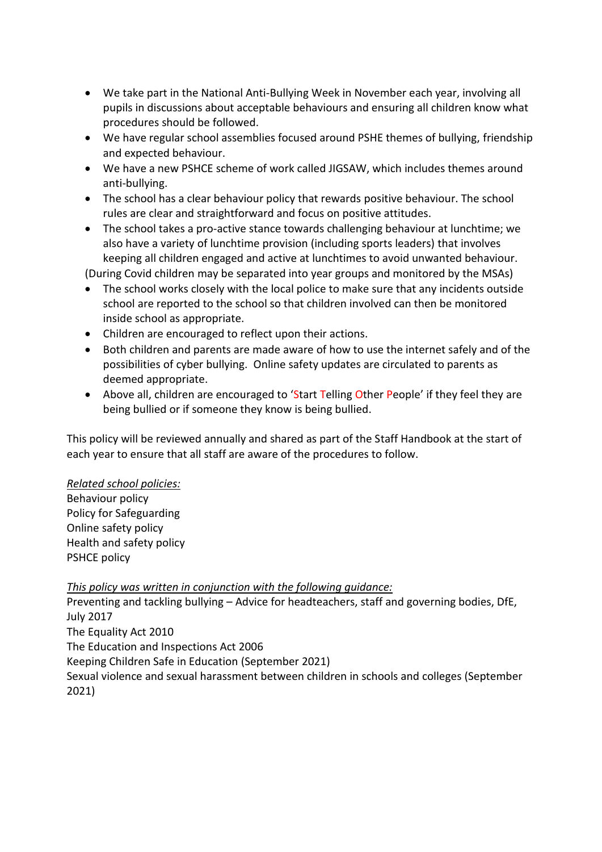- We take part in the National Anti-Bullying Week in November each year, involving all pupils in discussions about acceptable behaviours and ensuring all children know what procedures should be followed.
- We have regular school assemblies focused around PSHE themes of bullying, friendship and expected behaviour.
- We have a new PSHCE scheme of work called JIGSAW, which includes themes around anti-bullying.
- The school has a clear behaviour policy that rewards positive behaviour. The school rules are clear and straightforward and focus on positive attitudes.
- The school takes a pro-active stance towards challenging behaviour at lunchtime; we also have a variety of lunchtime provision (including sports leaders) that involves keeping all children engaged and active at lunchtimes to avoid unwanted behaviour.

(During Covid children may be separated into year groups and monitored by the MSAs)

- The school works closely with the local police to make sure that any incidents outside school are reported to the school so that children involved can then be monitored inside school as appropriate.
- Children are encouraged to reflect upon their actions.
- Both children and parents are made aware of how to use the internet safely and of the possibilities of cyber bullying. Online safety updates are circulated to parents as deemed appropriate.
- Above all, children are encouraged to 'Start Telling Other People' if they feel they are being bullied or if someone they know is being bullied.

This policy will be reviewed annually and shared as part of the Staff Handbook at the start of each year to ensure that all staff are aware of the procedures to follow.

### *Related school policies:*

Behaviour policy Policy for Safeguarding Online safety policy Health and safety policy PSHCE policy

### *This policy was written in conjunction with the following guidance:*

Preventing and tackling bullying – Advice for headteachers, staff and governing bodies, DfE, July 2017 The Equality Act 2010 The Education and Inspections Act 2006 Keeping Children Safe in Education (September 2021) Sexual violence and sexual harassment between children in schools and colleges (September 2021)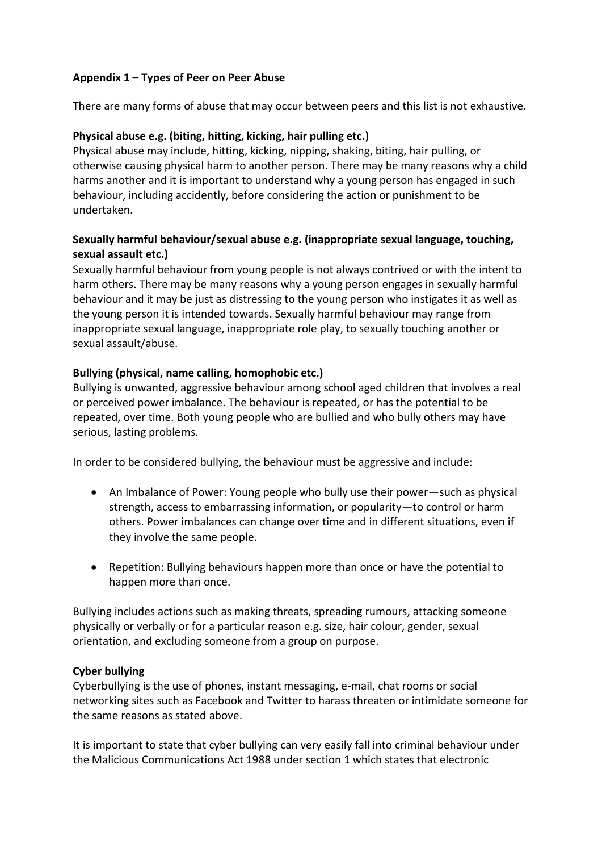# **Appendix 1 – Types of Peer on Peer Abuse**

There are many forms of abuse that may occur between peers and this list is not exhaustive.

## **Physical abuse e.g. (biting, hitting, kicking, hair pulling etc.)**

Physical abuse may include, hitting, kicking, nipping, shaking, biting, hair pulling, or otherwise causing physical harm to another person. There may be many reasons why a child harms another and it is important to understand why a young person has engaged in such behaviour, including accidently, before considering the action or punishment to be undertaken.

# **Sexually harmful behaviour/sexual abuse e.g. (inappropriate sexual language, touching, sexual assault etc.)**

Sexually harmful behaviour from young people is not always contrived or with the intent to harm others. There may be many reasons why a young person engages in sexually harmful behaviour and it may be just as distressing to the young person who instigates it as well as the young person it is intended towards. Sexually harmful behaviour may range from inappropriate sexual language, inappropriate role play, to sexually touching another or sexual assault/abuse.

### **Bullying (physical, name calling, homophobic etc.)**

Bullying is unwanted, aggressive behaviour among school aged children that involves a real or perceived power imbalance. The behaviour is repeated, or has the potential to be repeated, over time. Both young people who are bullied and who bully others may have serious, lasting problems.

In order to be considered bullying, the behaviour must be aggressive and include:

- An Imbalance of Power: Young people who bully use their power—such as physical strength, access to embarrassing information, or popularity—to control or harm others. Power imbalances can change over time and in different situations, even if they involve the same people.
- Repetition: Bullying behaviours happen more than once or have the potential to happen more than once.

Bullying includes actions such as making threats, spreading rumours, attacking someone physically or verbally or for a particular reason e.g. size, hair colour, gender, sexual orientation, and excluding someone from a group on purpose.

### **Cyber bullying**

Cyberbullying is the use of phones, instant messaging, e-mail, chat rooms or social networking sites such as Facebook and Twitter to harass threaten or intimidate someone for the same reasons as stated above.

It is important to state that cyber bullying can very easily fall into criminal behaviour under the Malicious Communications Act 1988 under section 1 which states that electronic